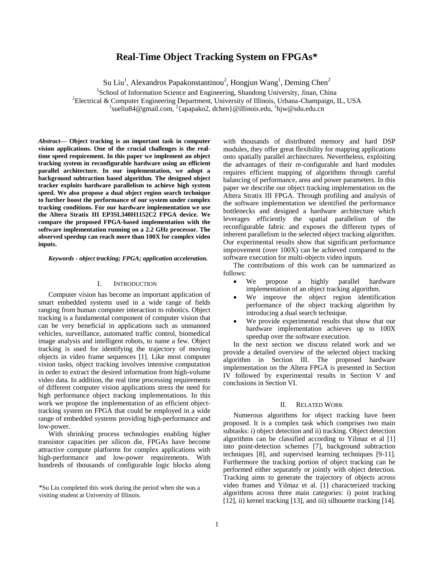# **Real-Time Object Tracking System on FPGAs\***

Su Liu<sup>1</sup>, Alexandros Papakonstantinou<sup>2</sup>, Hongjun Wang<sup>1</sup>, Deming Chen<sup>2</sup>

<sup>1</sup>School of Information Science and Engineering, Shandong University, Jinan, China

<sup>2</sup>Electrical & Computer Engineering Department, University of Illinois, Urbana-Champaign, IL, USA

<sup>1</sup>sueliu84@gmail.com, <sup>2</sup>{apapako2, dchen}@illinois.edu, <sup>1</sup>hjw@sdu.edu.cn

*Abstract***— Object tracking is an important task in computer vision applications. One of the crucial challenges is the realtime speed requirement. In this paper we implement an object tracking system in reconfigurable hardware using an efficient parallel architecture. In our implementation, we adopt a background subtraction based algorithm. The designed object tracker exploits hardware parallelism to achieve high system speed. We also propose a dual object region search technique to further boost the performance of our system under complex tracking conditions. For our hardware implementation we use the Altera Stratix III EP3SL340H1152C2 FPGA device. We compare the proposed FPGA-based implementation with the software implementation running on a 2.2 GHz processor. The observed speedup can reach more than 100X for complex video inputs.**

*Keywords - object tracking; FPGA; application acceleration.*

### I. INTRODUCTION

Computer vision has become an important application of smart embedded systems used in a wide range of fields ranging from human computer interaction to robotics. Object tracking is a fundamental component of computer vision that can be very beneficial in applications such as unmanned vehicles, surveillance, automated traffic control, biomedical image analysis and intelligent robots, to name a few. Object tracking is used for identifying the trajectory of moving objects in video frame sequences [1]. Like most computer vision tasks, object tracking involves intensive computation in order to extract the desired information from high-volume video data. In addition, the real time processing requirements of different computer vision applications stress the need for high performance object tracking implementations. In this work we propose the implementation of an efficient objecttracking system on FPGA that could be employed in a wide range of embedded systems providing high-performance and low-power.

With shrinking process technologies enabling higher transistor capacities per silicon die, FPGAs have become attractive compute platforms for complex applications with high-performance and low-power requirements. With hundreds of thousands of configurable logic blocks along with thousands of distributed memory and hard DSP modules, they offer great flexibility for mapping applications onto spatially parallel architectures. Nevertheless, exploiting the advantages of their re-configurable and hard modules requires efficient mapping of algorithms through careful balancing of performance, area and power parameters. In this paper we describe our object tracking implementation on the Altera Stratix III FPGA. Through profiling and analysis of the software implementation we identified the performance bottlenecks and designed a hardware architecture which leverages efficiently the spatial parallelism of the reconfigurable fabric and exposes the different types of inherent parallelism in the selected object tracking algorithm. Our experimental results show that significant performance improvement (over 100X) can be achieved compared to the software execution for multi-objects video inputs.

The contributions of this work can be summarized as follows:

- We propose a highly parallel hardware implementation of an object tracking algorithm.
- We improve the object region identification performance of the object tracking algorithm by introducing a dual search technique.
- We provide experimental results that show that our hardware implementation achieves up to 100X speedup over the software execution.

In the next section we discuss related work and we provide a detailed overview of the selected object tracking algorithm in Section III. The proposed hardware implementation on the Altera FPGA is presented in Section IV followed by experimental results in Section V and conclusions in Section VI.

# II. RELATED WORK

Numerous algorithms for object tracking have been proposed. It is a complex task which comprises two main subtasks: i) object detection and ii) tracking. Object detection algorithms can be classified according to Yilmaz et al [1] into point-detection schemes [7], background subtraction techniques [8], and supervised learning techniques [9-11]. Furthermore the tracking portion of object tracking can be performed either separately or jointly with object detection. Tracking aims to generate the trajectory of objects across video frames and Yilmaz et al. [1] characterized tracking algorithms across three main categories: i) point tracking [12], ii) kernel tracking [13], and iii) silhouette tracking [14].

<sup>\*</sup>Su Liu completed this work during the period when she was a visiting student at University of Illinois.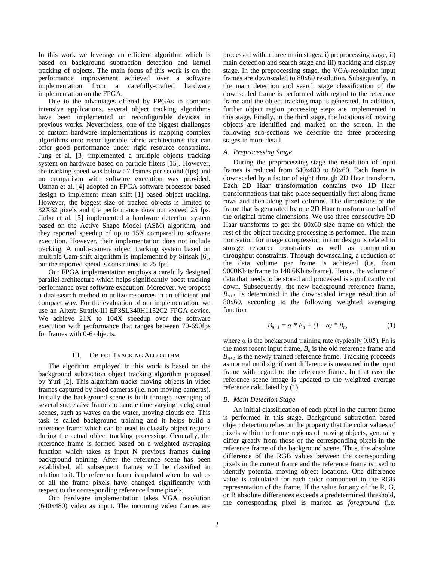In this work we leverage an efficient algorithm which is based on background subtraction detection and kernel tracking of objects. The main focus of this work is on the performance improvement achieved over a software implementation from a carefully-crafted hardware implementation on the FPGA.

Due to the advantages offered by FPGAs in compute intensive applications, several object tracking algorithms have been implemented on reconfigurable devices in previous works. Nevertheless, one of the biggest challenges of custom hardware implementations is mapping complex algorithms onto reconfigurable fabric architectures that can offer good performance under rigid resource constraints. Jung et al. [3] implemented a multiple objects tracking system on hardware based on particle filters [15]. However, the tracking speed was below 57 frames per second (fps) and no comparison with software execution was provided. Usman et al. [4] adopted an FPGA software processor based design to implement mean shift [1] based object tracking. However, the biggest size of tracked objects is limited to 32X32 pixels and the performance does not exceed 25 fps. Jinbo et al. [5] implemented a hardware detection system based on the Active Shape Model (ASM) algorithm, and they reported speedup of up to 15X compared to software execution. However, their implementation does not include tracking. A multi-camera object tracking system based on multiple-Cam-shift algorithm is implemented by Sirisak [6], but the reported speed is constrained to 25 fps.

Our FPGA implementation employs a carefully designed parallel architecture which helps significantly boost tracking performance over software execution. Moreover, we propose a dual-search method to utilize resources in an efficient and compact way. For the evaluation of our implementation, we use an Altera Stratix-III EP3SL340H1152C2 FPGA device. We achieve 21X to 104X speedup over the software execution with performance that ranges between 70-690fps for frames with 0-6 objects.

## III. OBJECT TRACKING ALGORITHM

The algorithm employed in this work is based on the background subtraction object tracking algorithm proposed by Yuri [2]. This algorithm tracks moving objects in video frames captured by fixed cameras (i.e. non moving cameras). Initially the background scene is built through averaging of several successive frames to handle time varying background scenes, such as waves on the water, moving clouds etc. This task is called background training and it helps build a reference frame which can be used to classify object regions during the actual object tracking processing. Generally, the reference frame is formed based on a weighted averaging function which takes as input N previous frames during background training. After the reference scene has been established, all subsequent frames will be classified in relation to it. The reference frame is updated when the values of all the frame pixels have changed significantly with respect to the corresponding reference frame pixels.

Our hardware implementation takes VGA resolution (640x480) video as input. The incoming video frames are processed within three main stages: i) preprocessing stage, ii) main detection and search stage and iii) tracking and display stage. In the preprocessing stage, the VGA-resolution input frames are downscaled to 80x60 resolution. Subsequently, in the main detection and search stage classification of the downscaled frame is performed with regard to the reference frame and the object tracking map is generated. In addition, further object region processing steps are implemented in this stage. Finally, in the third stage, the locations of moving objects are identified and marked on the screen. In the following sub-sections we describe the three processing stages in more detail.

## *A. Preprocessing Stage*

During the preprocessing stage the resolution of input frames is reduced from 640x480 to 80x60. Each frame is downscaled by a factor of eight through 2D Haar transform. Each 2D Haar transformation contains two 1D Haar transformations that take place sequentially first along frame rows and then along pixel columns. The dimensions of the frame that is generated by one 2D Haar transform are half of the original frame dimensions. We use three consecutive 2D Haar transforms to get the 80x60 size frame on which the rest of the object tracking processing is performed. The main motivation for image compression in our design is related to storage resource constraints as well as computation throughput constraints. Through downscaling, a reduction of the data volume per frame is achieved (i.e. from 9000Kbits/frame to 140.6Kbits/frame). Hence, the volume of data that needs to be stored and processed is significantly cut down. Subsequently, the new background reference frame,  $B_{n+1}$ , is determined in the downscaled image resolution of 80x60, according to the following weighted averaging function

$$
B_{n+1} = \alpha \cdot F_n + (1 - \alpha) \cdot B_n, \tag{1}
$$

where  $\alpha$  is the background training rate (typically 0.05), Fn is the most recent input frame,  $B<sub>n</sub>$  is the old reference frame and  $B_{n+1}$  is the newly trained reference frame. Tracking proceeds as normal until significant difference is measured in the input frame with regard to the reference frame. In that case the reference scene image is updated to the weighted average reference calculated by (1).

# *B. Main Detection Stage*

An initial classification of each pixel in the current frame is performed in this stage. Background subtraction based object detection relies on the property that the color values of pixels within the frame regions of moving objects, generally differ greatly from those of the corresponding pixels in the reference frame of the background scene. Thus, the absolute difference of the RGB values between the corresponding pixels in the current frame and the reference frame is used to identify potential moving object locations. One difference value is calculated for each color component in the RGB representation of the frame. If the value for any of the R, G, or B absolute differences exceeds a predetermined threshold, the corresponding pixel is marked as *foreground* (i.e.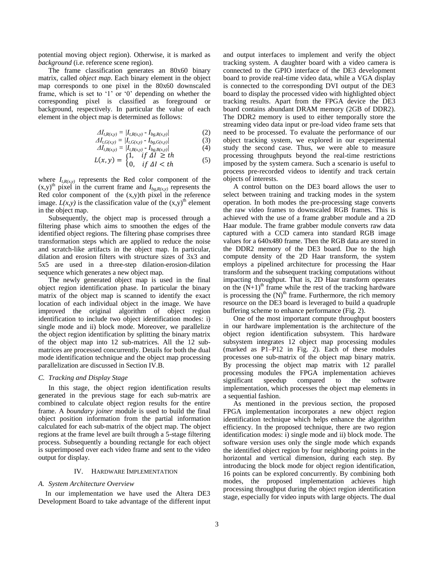potential moving object region). Otherwise, it is marked as *background* (i.e. reference scene region).

The frame classification generates an 80x60 binary matrix, called *object map*. Each binary element in the object map corresponds to one pixel in the 80x60 downscaled frame, which is set to '1' or '0' depending on whether the corresponding pixel is classified as foreground or background, respectively. In particular the value of each element in the object map is determined as follows:

$$
\Delta I_{t, R(x,y)} = |I_{t, R(x,y)} - I_{bg, R(x,y)}| \tag{2}
$$

$$
\Delta I_{t, G(x, y)} = /I_{t, G(x, y)} - I_{b g, G(x, y)} \tag{3}
$$

$$
\Delta I_{t,B(x,y)} = \left| I_{t,B(x,y)} - I_{bg,B(x,y)} \right|
$$
\n<sup>(4)</sup>

$$
L(x, y) = \begin{cases} 1, & \text{if } \Delta I \geq th \\ 0, & \text{if } \Delta I < th \end{cases} \tag{5}
$$

where  $I_{t,R(x,y)}$  represents the Red color component of the  $(x,y)$ <sup>th</sup> pixel in the current frame and  $I_{b,g,R(x,y)}$  represents the Red color component of the  $(x,y)$ th pixel in the reference image.  $L(x, y)$  is the classification value of the  $(x,y)$ <sup>th</sup> element in the object map.

Subsequently, the object map is processed through a filtering phase which aims to smoothen the edges of the identified object regions. The filtering phase comprises three transformation steps which are applied to reduce the noise and scratch-like artifacts in the object map. In particular, dilation and erosion filters with structure sizes of 3x3 and 5x5 are used in a three-step dilation-erosion-dilation sequence which generates a new object map.

The newly generated object map is used in the final object region identification phase. In particular the binary matrix of the object map is scanned to identify the exact location of each individual object in the image. We have improved the original algorithm of object region identification to include two object identification modes: i) single mode and ii) block mode. Moreover, we parallelize the object region identification by splitting the binary matrix of the object map into 12 sub-matrices. All the 12 submatrices are processed concurrently. Details for both the dual mode identification technique and the object map processing parallelization are discussed in Section IV.B.

# *C. Tracking and Display Stage*

In this stage, the object region identification results generated in the previous stage for each sub-matrix are combined to calculate object region results for the entire frame. A *boundary joiner* module is used to build the final object position information from the partial information calculated for each sub-matrix of the object map. The object regions at the frame level are built through a 5-stage filtering process. Subsequently a bounding rectangle for each object is superimposed over each video frame and sent to the video output for display.

# IV. HARDWARE IMPLEMENTATION

# *A. System Architecture Overview*

 In our implementation we have used the Altera DE3 Development Board to take advantage of the different input and output interfaces to implement and verify the object tracking system. A daughter board with a video camera is connected to the GPIO interface of the DE3 development board to provide real-time video data, while a VGA display is connected to the corresponding DVI output of the DE3 board to display the processed video with highlighted object tracking results. Apart from the FPGA device the DE3 board contains abundant DRAM memory (2GB of DDR2). The DDR2 memory is used to either temporally store the streaming video data input or pre-load video frame sets that need to be processed. To evaluate the performance of our object tracking system, we explored in our experimental study the second case. Thus, we were able to measure processing throughputs beyond the real-time restrictions imposed by the system camera. Such a scenario is useful to process pre-recorded videos to identify and track certain objects of interests.

A control button on the DE3 board allows the user to select between training and tracking modes in the system operation. In both modes the pre-processing stage converts the raw video frames to downscaled RGB frames. This is achieved with the use of a frame grabber module and a 2D Haar module. The frame grabber module converts raw data captured with a CCD camera into standard RGB image values for a 640x480 frame. Then the RGB data are stored in the DDR2 memory of the DE3 board. Due to the high compute density of the 2D Haar transform, the system employs a pipelined architecture for processing the Haar transform and the subsequent tracking computations without impacting throughput. That is, 2D Haar transform operates on the  $(N+1)^{th}$  frame while the rest of the tracking hardware is processing the  $(N)$ <sup>th</sup> frame. Furthermore, the rich memory resource on the DE3 board is leveraged to build a quadruple buffering scheme to enhance performance (Fig. 2).

One of the most important compute throughput boosters in our hardware implementation is the architecture of the object region identification subsystem. This hardware subsystem integrates 12 object map processing modules (marked as P1–P12 in Fig. 2). Each of these modules processes one sub-matrix of the object map binary matrix. By processing the object map matrix with 12 parallel processing modules the FPGA implementation achieves significant speedup compared to the software implementation, which processes the object map elements in a sequential fashion.

As mentioned in the previous section, the proposed FPGA implementation incorporates a new object region identification technique which helps enhance the algorithm efficiency. In the proposed technique, there are two region identification modes: i) single mode and ii) block mode. The software version uses only the single mode which expands the identified object region by four neighboring points in the horizontal and vertical dimension, during each step. By introducing the block mode for object region identification, 16 points can be explored concurrently. By combining both modes, the proposed implementation achieves high processing throughput during the object region identification stage, especially for video inputs with large objects. The dual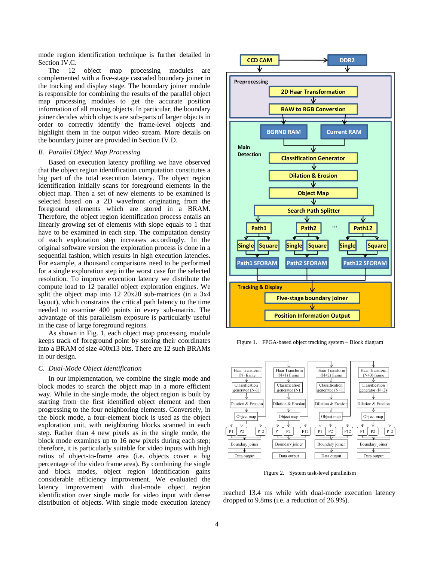mode region identification technique is further detailed in Section IV.C.

The 12 object map processing modules are complemented with a five-stage cascaded boundary joiner in the tracking and display stage. The boundary joiner module is responsible for combining the results of the parallel object map processing modules to get the accurate position information of all moving objects. In particular, the boundary joiner decides which objects are sub-parts of larger objects in order to correctly identify the frame-level objects and highlight them in the output video stream. More details on the boundary joiner are provided in Section IV.D.

# *B. Parallel Object Map Processing*

Based on execution latency profiling we have observed that the object region identification computation constitutes a big part of the total execution latency. The object region identification initially scans for foreground elements in the object map. Then a set of new elements to be examined is selected based on a 2D wavefront originating from the foreground elements which are stored in a BRAM. Therefore, the object region identification process entails an linearly growing set of elements with slope equals to 1 that have to be examined in each step. The computation density of each exploration step increases accordingly. In the original software version the exploration process is done in a sequential fashion, which results in high execution latencies. For example, a thousand comparisons need to be performed for a single exploration step in the worst case for the selected resolution. To improve execution latency we distribute the compute load to 12 parallel object exploration engines. We split the object map into 12 20x20 sub-matrices (in a 3x4 layout), which constrains the critical path latency to the time needed to examine 400 points in every sub-matrix. The advantage of this parallelism exposure is particularly useful in the case of large foreground regions.

As shown in Fig. 1, each object map processing module keeps track of foreground point by storing their coordinates into a BRAM of size 400x13 bits. There are 12 such BRAMs in our design.

# *C. Dual-Mode Object Identification*

In our implementation, we combine the single mode and block modes to search the object map in a more efficient way. While in the single mode, the object region is built by starting from the first identified object element and then progressing to the four neighboring elements. Conversely, in the block mode, a four-element block is used as the object exploration unit, with neighboring blocks scanned in each step. Rather than 4 new pixels as in the single mode, the block mode examines up to 16 new pixels during each step; therefore, it is particularly suitable for video inputs with high ratios of object-to-frame area (i.e. objects cover a big percentage of the video frame area). By combining the single and block modes, object region identification gains considerable efficiency improvement. We evaluated the latency improvement with dual-mode object region identification over single mode for video input with dense distribution of objects. With single mode execution latency



Figure 1. FPGA-based object tracking system – Block diagram



Figure 2. System task-level parallelism

reached 13.4 ms while with dual-mode execution latency dropped to 9.8ms (i.e. a reduction of 26.9%).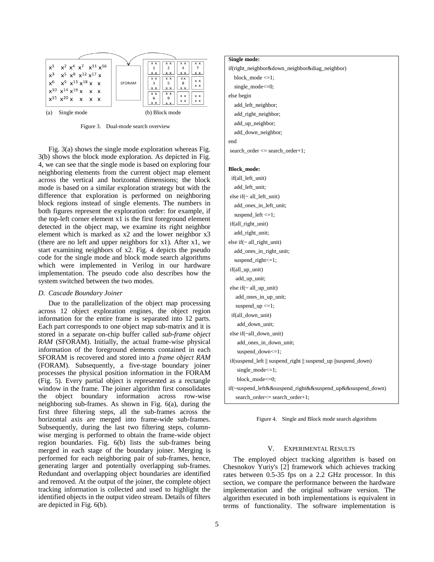

Figure 3. Dual-mode search overview

Fig. 3(a) shows the single mode exploration whereas Fig. 3(b) shows the block mode exploration. As depicted in Fig. 4, we can see that the single mode is based on exploring four neighboring elements from the current object map element across the vertical and horizontal dimensions; the block mode is based on a similar exploration strategy but with the difference that exploration is performed on neighboring block regions instead of single elements. The numbers in both figures represent the exploration order: for example, if the top-left corner element x1 is the first foreground element detected in the object map, we examine its right neighbor element which is marked as x2 and the lower neighbor x3 (there are no left and upper neighbors for x1). After x1, we start examining neighbors of x2. Fig. 4 depicts the pseudo code for the single mode and block mode search algorithms which were implemented in Verilog in our hardware implementation. The pseudo code also describes how the system switched between the two modes.

#### *D. Cascade Boundary Joiner*

Due to the parallelization of the object map processing across 12 object exploration engines, the object region information for the entire frame is separated into 12 parts. Each part corresponds to one object map sub-matrix and it is stored in a separate on-chip buffer called *sub-frame object RAM* (SFORAM). Initially, the actual frame-wise physical information of the foreground elements contained in each SFORAM is recovered and stored into a *frame object RAM* (FORAM). Subsequently, a five-stage boundary joiner processes the physical position information in the FORAM (Fig. 5). Every partial object is represented as a rectangle window in the frame. The joiner algorithm first consolidates the object boundary information across row-wise neighboring sub-frames. As shown in Fig. 6(a), during the first three filtering steps, all the sub-frames across the horizontal axis are merged into frame-wide sub-frames. Subsequently, during the last two filtering steps, columnwise merging is performed to obtain the frame-wide object region boundaries. Fig. 6(b) lists the sub-frames being merged in each stage of the boundary joiner. Merging is performed for each neighboring pair of sub-frames, hence, generating larger and potentially overlapping sub-frames. Redundant and overlapping object boundaries are identified and removed. At the output of the joiner, the complete object tracking information is collected and used to highlight the identified objects in the output video stream. Details of filters are depicted in Fig. 6(b).

#### **Single mode:**

| if(right_neighbor&down_neighbor&diag_neighbor)                 |
|----------------------------------------------------------------|
| $block\_mode \leq 1;$                                          |
| $single_model \leq 0;$                                         |
| else begin                                                     |
| add_left_neighbor;                                             |
| add_right_neighbor;                                            |
| add_up_neighbor;                                               |
| add_down_neighbor;                                             |
| end                                                            |
| $search\_order \leq search\_order + 1;$                        |
|                                                                |
| <b>Block_mode:</b>                                             |
| if(all_left_unit)                                              |
| add_left_unit;                                                 |
| else if $(\sim$ all_left_unit)                                 |
| add_ones_in_left_unit;                                         |
| suspend_left $\leq$ =1;                                        |
| if(all_right_unit)                                             |
| add_right_unit;                                                |
| else if(~ all_right_unit)                                      |
| add_ones_in_right_unit;                                        |
| suspend_right $\leq$ =1;                                       |
| if(all_up_unit)                                                |
| add_up_unit;                                                   |
| else if $(\sim$ all_up_unit)                                   |
| add_ones_in_up_unit;                                           |
| suspend_up $\leq 1$ ;                                          |
| if(all_down_unit)                                              |
| add_down_unit;                                                 |
| else if(~all_down_unit)                                        |
| add_ones_in_down_unit;                                         |
| suspend_down $\leq$ =1;                                        |
| if(suspend_left    suspend_right    suspend_up   suspend_down) |
| $single_model$ :                                               |
| block_mode<=0;                                                 |
| if(~suspend_left&&suspend_right&&suspend_up&&suspend_down)     |
| search_order<= search_order+1;                                 |

Figure 4. Single and Block mode search algorithms

### V. EXPERIMENTAL RESULTS

The employed object tracking algorithm is based on Chesnokov Yuriy's [2] framework which achieves tracking rates between 0.5-35 fps on a 2.2 GHz processor. In this section, we compare the performance between the hardware implementation and the original software version. The algorithm executed in both implementations is equivalent in terms of functionality. The software implementation is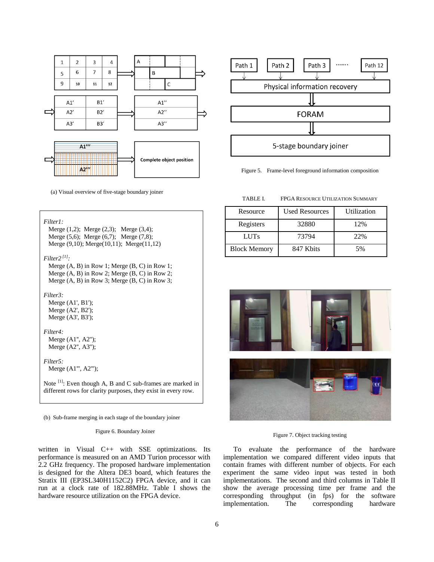

(a) Visual overview of five-stage boundary joiner

```
Filter1:
```
 Merge (1,2); Merge (2,3); Merge (3,4); Merge (5,6); Merge (6,7); Merge (7,8); Merge (9,10); Merge(10,11); Merge(11,12)

## *Filter2 [1]:*

 Merge (A, B) in Row 1; Merge (B, C) in Row 1; Merge (A, B) in Row 2; Merge (B, C) in Row 2; Merge (A, B) in Row 3; Merge (B, C) in Row 3;

#### *Filter3:*

 Merge (A1', B1'); Merge (A2', B2'); Merge (A3', B3');

# *Filter4:*

 Merge (A1'', A2''); Merge (A2'', A3'');

#### *Filter5:*

Merge (A1''', A2''');

Note [1]: Even though A, B and C sub-frames are marked in different rows for clarity purposes, they exist in every row.

(b) Sub-frame merging in each stage of the boundary joiner

### Figure 6. Boundary Joiner

written in Visual C++ with SSE optimizations. Its performance is measured on an AMD Turion processor with 2.2 GHz frequency. The proposed hardware implementation is designed for the Altera DE3 board, which features the Stratix III (EP3SL340H1152C2) FPGA device, and it can run at a clock rate of 182.88MHz. Table I shows the hardware resource utilization on the FPGA device.



Figure 5. Frame-level foreground information composition

TABLE I. FPGA RESOURCE UTILIZATION SUMMARY

| Resource            | <b>Used Resources</b> | Utilization |  |
|---------------------|-----------------------|-------------|--|
| Registers           | 32880                 | 12%         |  |
| <b>LUTs</b>         | 73794                 | 22%         |  |
| <b>Block Memory</b> | 847 Kbits             | 5%          |  |



Figure 7. Object tracking testing

To evaluate the performance of the hardware implementation we compared different video inputs that contain frames with different number of objects. For each experiment the same video input was tested in both implementations. The second and third columns in Table II show the average processing time per frame and the corresponding throughput (in fps) for the software implementation. The corresponding hardware